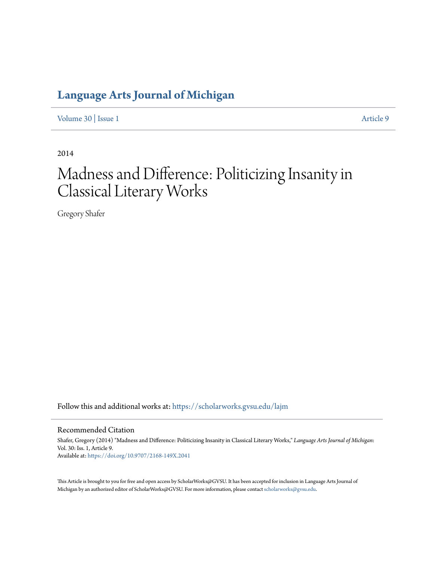### **[Language Arts Journal of Michigan](https://scholarworks.gvsu.edu/lajm?utm_source=scholarworks.gvsu.edu%2Flajm%2Fvol30%2Fiss1%2F9&utm_medium=PDF&utm_campaign=PDFCoverPages)**

[Volume 30](https://scholarworks.gvsu.edu/lajm/vol30?utm_source=scholarworks.gvsu.edu%2Flajm%2Fvol30%2Fiss1%2F9&utm_medium=PDF&utm_campaign=PDFCoverPages) | [Issue 1](https://scholarworks.gvsu.edu/lajm/vol30/iss1?utm_source=scholarworks.gvsu.edu%2Flajm%2Fvol30%2Fiss1%2F9&utm_medium=PDF&utm_campaign=PDFCoverPages) [Article 9](https://scholarworks.gvsu.edu/lajm/vol30/iss1/9?utm_source=scholarworks.gvsu.edu%2Flajm%2Fvol30%2Fiss1%2F9&utm_medium=PDF&utm_campaign=PDFCoverPages)

2014

## Madness and Difference: Politicizing Insanity in Classical Literary Works

Gregory Shafer

Follow this and additional works at: [https://scholarworks.gvsu.edu/lajm](https://scholarworks.gvsu.edu/lajm?utm_source=scholarworks.gvsu.edu%2Flajm%2Fvol30%2Fiss1%2F9&utm_medium=PDF&utm_campaign=PDFCoverPages)

#### Recommended Citation

Shafer, Gregory (2014) "Madness and Difference: Politicizing Insanity in Classical Literary Works," *Language Arts Journal of Michigan*: Vol. 30: Iss. 1, Article 9. Available at: <https://doi.org/10.9707/2168-149X.2041>

This Article is brought to you for free and open access by ScholarWorks@GVSU. It has been accepted for inclusion in Language Arts Journal of Michigan by an authorized editor of ScholarWorks@GVSU. For more information, please contact [scholarworks@gvsu.edu.](mailto:scholarworks@gvsu.edu)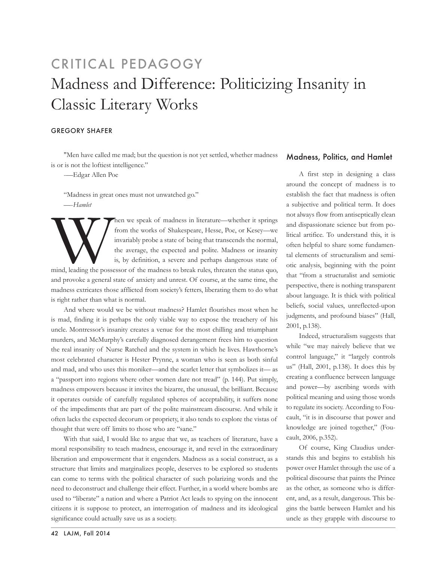# Madness and Difference: Politicizing Insanity in Classic Literary Works CRITICAL PEDAGOGY

#### Gregory Shafer

"Men have called me mad; but the question is not yet settled, whether madness is or is not the loftiest intelligence."

-—Edgar Allen Poe

"Madness in great ones must not unwatched go." —-*Hamlet*

Then we speak of madness in literature—whether it springs<br>from the works of Shakespeare, Hesse, Poe, or Kesey—we<br>invariably probe a state of being that transcends the normal,<br>the average, the expected and polite. Madness o from the works of Shakespeare, Hesse, Poe, or Kesey—we invariably probe a state of being that transcends the normal, the average, the expected and polite. Madness or insanity is, by definition, a severe and perhaps dangerous state of

mind, leading the possessor of the madness to break rules, threaten the status quo, and provoke a general state of anxiety and unrest. Of course, at the same time, the madness extricates those afflicted from society's fetters, liberating them to do what is right rather than what is normal.

And where would we be without madness? Hamlet flourishes most when he is mad, finding it is perhaps the only viable way to expose the treachery of his uncle. Montressor's insanity creates a venue for the most chilling and triumphant murders, and McMurphy's carefully diagnosed derangement frees him to question the real insanity of Nurse Ratched and the system in which he lives. Hawthorne's most celebrated character is Hester Prynne, a woman who is seen as both sinful and mad, and who uses this moniker—and the scarlet letter that symbolizes it— as a "passport into regions where other women dare not tread" (p. 144). Put simply, madness empowers because it invites the bizarre, the unusual, the brilliant. Because it operates outside of carefully regulated spheres of acceptability, it suffers none of the impediments that are part of the polite mainstream discourse. And while it often lacks the expected decorum or propriety, it also tends to explore the vistas of thought that were off limits to those who are "sane."

With that said, I would like to argue that we, as teachers of literature, have a moral responsibility to teach madness, encourage it, and revel in the extraordinary liberation and empowerment that it engenders. Madness as a social construct, as a structure that limits and marginalizes people, deserves to be explored so students can come to terms with the political character of such polarizing words and the need to deconstruct and challenge their effect. Further, in a world where bombs are used to "liberate" a nation and where a Patriot Act leads to spying on the innocent citizens it is suppose to protect, an interrogation of madness and its ideological significance could actually save us as a society.

#### Madness, Politics, and Hamlet

A first step in designing a class around the concept of madness is to establish the fact that madness is often a subjective and political term. It does not always flow from antiseptically clean and dispassionate science but from political artifice. To understand this, it is often helpful to share some fundamental elements of structuralism and semiotic analysis, beginning with the point that "from a structuralist and semiotic perspective, there is nothing transparent about language. It is thick with political beliefs, social values, unreflected-upon judgments, and profound biases" (Hall, 2001, p.138).

Indeed, structuralism suggests that while "we may naively believe that we control language," it "largely controls us" (Hall, 2001, p.138). It does this by creating a confluence between language and power—by ascribing words with political meaning and using those words to regulate its society. According to Foucault, "it is in discourse that power and knowledge are joined together," (Foucault, 2006, p.352).

Of course, King Claudius understands this and begins to establish his power over Hamlet through the use of a political discourse that paints the Prince as the other, as someone who is different, and, as a result, dangerous. This begins the battle between Hamlet and his uncle as they grapple with discourse to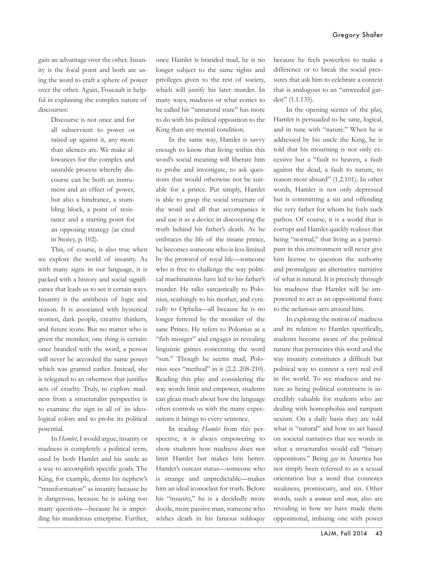gain an advantage over the other. Insanity is the focal point and both are using the word to craft a sphere of power over the other. Again, Foucault is helpful in explaining the complex nature of discourses:

> Discourse is not once and for all subservient to power or raised up against it, any more than silences are. We make allowances for the complex and unstable process whereby discourse can be both an instrument and an effect of power, but also a hindrance, a stumbling block, a point of resistance and a starting point for an opposing strategy (as cited in Storey, p. 102).

This, of course, is also true when we explore the world of insanity. As with many signs in our language, it is packed with a history and social significance that leads us to see it certain ways. Insanity is the antithesis of logic and reason. It is associated with hysterical women, dark people, creative thinkers, and future icons. But no matter who is given the moniker, one thing is certain: once branded with the word, a person will never be accorded the same power which was granted earlier. Instead, she is relegated to an otherness that justifies acts of cruelty. Truly, to explore madness from a structuralist perspective is to examine the sign in all of its ideological colors and to probe its political potential.

In *Hamlet*, I would argue, insanity or madness is completely a political term, used by both Hamlet and his uncle as a way to accomplish specific goals. The King, for example, deems his nephew's "transformation" as insanity because he is dangerous, because he is asking too many questions—because he is imperiling his murderous enterprise. Further, once Hamlet is branded mad, he is no longer subject to the same rights and privileges given to the rest of society, which will justify his later murder. In many ways, madness or what comes to be called his "unnatural state" has more to do with his political opposition to the King than any mental condition.

In the same way, Hamlet is savvy enough to know that living within this word's social meaning will liberate him to probe and investigate, to ask questions that would otherwise not be suitable for a prince. Put simply, Hamlet is able to grasp the social structure of the word and all that accompanies it and use it as a device in discovering the truth behind his father's death. As he embraces the life of the insane prince, he becomes someone who is less limited by the protocol of royal life—someone who is free to challenge the way political machinations have led to his father's murder. He talks sarcastically to Polonius, scathingly to his mother, and cynically to Ophelia—all because he is no longer fettered by the moniker of the sane Prince. He refers to Polonius as a "fish monger" and engages in revealing linguistic games concerning the word "sun." Though he seems mad, Polonius sees "method" in it (2.2. 208-210). Reading this play and considering the way words limit and empower, students can glean much about how the language often controls us with the many expectations it brings to every sentence.

In reading *Hamlet* from this perspective, it is always empowering to show students how madness does not limit Hamlet but makes him better. Hamlet's outcast status—someone who is strange and unpredictable—makes him an ideal iconoclast for truth. Before his "insanity," he is a decidedly more docile, more passive man, someone who wishes death in his famous soliloquy because he feels powerless to make a difference or to break the social pressures that ask him to celebrate a context that is analogous to an "unweeded garden" (1.1.135)*.*

In the opening scenes of the play, Hamlet is persuaded to be sane, logical, and in tune with "nature." When he is addressed by his uncle the King, he is told that his mourning is not only excessive but a "fault to heaven, a fault against the dead, a fault to nature, to reason most absurd" (1.2.101). In other words, Hamlet is not only depressed but is committing a sin and offending the very father for whom he feels such pathos. Of course, it is a world that is corrupt and Hamlet quickly realizes that being "normal," that living as a participant in this environment will never give him license to question the authority and promulgate an alternative narrative of what is natural. It is precisely through his madness that Hamlet will be empowered to act as an oppositional force to the nefarious acts around him.

In exploring the notion of madness and its relation to Hamlet specifically, students become aware of the political nature that permeates this word and the way insanity constitutes a difficult but political way to contest a very real evil in the world. To see madness and nature as being political constructs is incredibly valuable for students who are dealing with homophobia and rampant sexism. On a daily basis they are told what is "natural" and how to act based on societal narratives that see words in what a structuralist would call "binary oppositions." Being *gay* in America has not simply been referred to as a sexual orientation but a word that connotes weakness, promiscuity, and sin. Other words, such a *woman* and *man*, also are revealing in how we have made them oppositional, imbuing one with power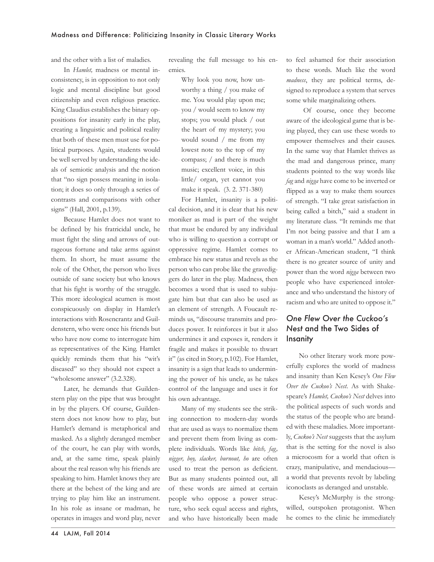and the other with a list of maladies.

In *Hamlet,* madness or mental inconsistency, is in opposition to not only logic and mental discipline but good citizenship and even religious practice. King Claudius establishes the binary oppositions for insanity early in the play, creating a linguistic and political reality that both of these men must use for political purposes. Again, students would be well served by understanding the ideals of semiotic analysis and the notion that "no sign possess meaning in isolation; it does so only through a series of contrasts and comparisons with other signs" (Hall, 2001, p.139).

Because Hamlet does not want to be defined by his fratricidal uncle, he must fight the sling and arrows of outrageous fortune and take arms against them. In short, he must assume the role of the Other, the person who lives outside of sane society but who knows that his fight is worthy of the struggle. This more ideological acumen is most conspicuously on display in Hamlet's interactions with Rosencrantz and Guildenstern, who were once his friends but who have now come to interrogate him as representatives of the King. Hamlet quickly reminds them that his "wit's diseased" so they should not expect a "wholesome answer" (3.2.328).

Later, he demands that Guildenstern play on the pipe that was brought in by the players. Of course, Guildenstern does not know how to play, but Hamlet's demand is metaphorical and masked. As a slightly deranged member of the court, he can play with words, and, at the same time, speak plainly about the real reason why his friends are speaking to him. Hamlet knows they are there at the behest of the king and are trying to play him like an instrument. In his role as insane or madman, he operates in images and word play, never revealing the full message to his enemies.

> Why look you now, how unworthy a thing / you make of me. You would play upon me; you / would seem to know my stops; you would pluck / out the heart of my mystery; you would sound / me from my lowest note to the top of my compass; / and there is much music; excellent voice, in this little/ organ, yet cannot you make it speak. (3. 2. 371-380)

For Hamlet, insanity is a political decision, and it is clear that his new moniker as mad is part of the weight that must be endured by any individual who is willing to question a corrupt or oppressive regime. Hamlet comes to embrace his new status and revels as the person who can probe like the gravediggers do later in the play. Madness, then becomes a word that is used to subjugate him but that can also be used as an element of strength. A Foucault reminds us, "discourse transmits and produces power. It reinforces it but it also undermines it and exposes it, renders it fragile and makes it possible to thwart it" (as cited in Story, p.102). For Hamlet, insanity is a sign that leads to undermining the power of his uncle, as he takes control of the language and uses it for his own advantage.

Many of my students see the striking connection to modern-day words that are used as ways to normalize them and prevent them from living as complete individuals. Words like *bitch, fag, nigger, boy, slacker, burnout, ho* are often used to treat the person as deficient. But as many students pointed out, all of these words are aimed at certain people who oppose a power structure, who seek equal access and rights, and who have historically been made

to feel ashamed for their association to these words. Much like the word *madness*, they are political terms, designed to reproduce a system that serves some while marginalizing others.

 Of course, once they become aware of the ideological game that is being played, they can use these words to empower themselves and their causes. In the same way that Hamlet thrives as the mad and dangerous prince, many students pointed to the way words like *fag* and *nigga* have come to be inverted or flipped as a way to make them sources of strength. "I take great satisfaction in being called a bitch," said a student in my literature class. "It reminds me that I'm not being passive and that I am a woman in a man's world." Added another African-American student, "I think there is no greater source of unity and power than the word *nigga* between two people who have experienced intolerance and who understand the history of racism and who are united to oppose it."

### *One Flew Over the Cuckoo's Nest* and the Two Sides of **Insanity**

No other literary work more powerfully explores the world of madness and insanity than Ken Kesey's *One Flew Over the Cuckoo's Nest*. As with Shakespeare's *Hamlet, Cuckoo's Nest* delves into the political aspects of such words and the status of the people who are branded with these maladies. More importantly, *Cuckoo's Nest* suggests that the asylum that is the setting for the novel is also a microcosm for a world that often is crazy, manipulative, and mendacious a world that prevents revolt by labeling iconoclasts as deranged and unstable.

Kesey's McMurphy is the strongwilled, outspoken protagonist. When he comes to the clinic he immediately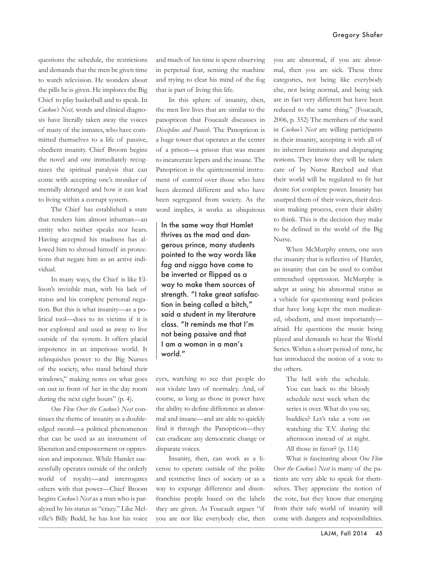questions the schedule, the restrictions and demands that the men be given time to watch television. He wonders about the pills he is given. He implores the Big Chief to play basketball and to speak. In *Cuckoo's Nest,* words and clinical diagnosis have literally taken away the voices of many of the inmates, who have committed themselves to a life of passive, obedient insanity. Chief Broom begins the novel and one immediately recognizes the spiritual paralysis that can come with accepting one's moniker of mentally deranged and how it can lead to living within a corrupt system.

The Chief has established a state that renders him almost inhuman—an entity who neither speaks nor hears. Having accepted his madness has allowed him to shroud himself in protections that negate him as an active individual.

In many ways, the Chief is like Ellison's invisible man, with his lack of status and his complete personal negation. But this is what insanity—as a political tool—does to its victims if it is not exploited and used as away to live outside of the system. It offers placid impotence in an imperious world. It relinquishes power to the Big Nurses of the society, who stand behind their windows," making notes on what goes on out in front of her in the day room during the next eight hours" (p. 4).

*One Flew Over the Cuckoo's Nest* continues the theme of insanity as a doubleedged sword—a political phenomenon that can be used as an instrument of liberation and empowerment or oppression and impotence. While Hamlet successfully operates outside of the orderly world of royalty—and interrogates others with that power—Chief Broom begins *Cuckoo's Nest* as a man who is paralyzed by his status as "crazy." Like Melville's Billy Budd, he has lost his voice

and much of his time is spent observing in perpetual fear, sensing the machine and trying to clear his mind of the fog that is part of living this life.

In this sphere of insanity, then, the men live lives that are similar to the panopticon that Foucault discusses in *Discipline and Punish*. The Panopticon is a huge tower that operates at the center of a prison—a prison that was meant to incarcerate lepers and the insane. The Panopticon is the quintessential instrument of control over those who have been deemed different and who have been segregated from society. As the word implies, it works as ubiquitous

In the same way that Hamlet thrives as the mad and dangerous prince, many students pointed to the way words like *fag* and *nigga* have come to be inverted or flipped as a way to make them sources of strength. "I take great satisfaction in being called a bitch," said a student in my literature class. "It reminds me that I'm not being passive and that I am a woman in a man's world."

eyes, watching to see that people do not violate laws of normalcy. And, of course, as long as those in power have the ability to define difference as abnormal and insane—and are able to quickly find it through the Panopticon—they can eradicate any democratic change or disparate voices.

Insanity, then, can work as a license to operate outside of the polite and restrictive lines of society or as a way to expunge difference and disenfranchise people based on the labels they are given. As Foucault argues "if you are not like everybody else, then

you are abnormal, if you are abnormal, then you are sick. These three categories, not being like everybody else, not being normal, and being sick are in fact very different but have been reduced to the same thing." (Foucault, 2006, p. 352) The members of the ward in *Cuckoo's Nest* are willing participants in their insanity, accepting it with all of its inherent limitations and disparaging notions. They know they will be taken care of by Nurse Ratched and that their world will be regulated to fit her desire for complete power. Insanity has usurped them of their voices, their decision making process, even their ability to think. This is the decision they make to be defined in the world of the Big Nurse.

When McMurphy enters, one sees the insanity that is reflective of Hamlet, an insanity that can be used to combat entrenched oppression. McMurphy is adept at using his abnormal status as a vehicle for questioning ward policies that have long kept the men medicated, obedient, and most importantly afraid. He questions the music being played and demands to hear the World Series. Within a short period of time, he has introduced the notion of a vote to the others.

> The hell with the schedule. You can back to the bloody schedule next week when the series is over. What do you say, buddies? Let's take a vote on watching the T.V. during the afternoon instead of at night. All those in favor? (p. 114)

What is fascinating about *One Flew Over the Cuckoo's Nest* is many of the patients are very able to speak for themselves. They appreciate the notion of the vote, but they know that emerging from their safe world of insanity will come with dangers and responsibilities.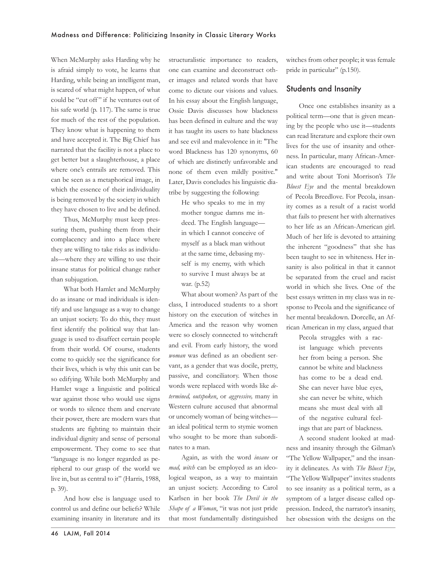When McMurphy asks Harding why he is afraid simply to vote, he learns that Harding, while being an intelligent man, is scared of what might happen, of what could be "cut off" if he ventures out of his safe world (p. 117). The same is true for much of the rest of the population. They know what is happening to them and have accepted it. The Big Chief has narrated that the facility is not a place to get better but a slaughterhouse, a place where one's entrails are removed. This can be seen as a metaphorical image, in which the essence of their individuality is being removed by the society in which they have chosen to live and be defined.

Thus, McMurphy must keep pressuring them, pushing them from their complacency and into a place where they are willing to take risks as individuals—where they are willing to use their insane status for political change rather than subjugation.

What both Hamlet and McMurphy do as insane or mad individuals is identify and use language as a way to change an unjust society. To do this, they must first identify the political way that language is used to disaffect certain people from their world. Of course, students come to quickly see the significance for their lives, which is why this unit can be so edifying. While both McMurphy and Hamlet wage a linguistic and political war against those who would use signs or words to silence them and enervate their power, there are modern wars that students are fighting to maintain their individual dignity and sense of personal empowerment. They come to see that "language is no longer regarded as peripheral to our grasp of the world we live in, but as central to it" (Harris, 1988, p. 39).

And how else is language used to control us and define our beliefs? While examining insanity in literature and its structuralistic importance to readers, one can examine and deconstruct other images and related words that have come to dictate our visions and values. In his essay about the English language, Ossie Davis discusses how blackness has been defined in culture and the way it has taught its users to hate blackness and see evil and malevolence in it: "The word Blackness has 120 synonyms, 60 of which are distinctly unfavorable and none of them even mildly positive." Later, Davis concludes his linguistic diatribe by suggesting the following:

> He who speaks to me in my mother tongue damns me indeed. The English language in which I cannot conceive of myself as a black man without at the same time, debasing myself is my enemy, with which to survive I must always be at war. (p.52)

What about women? As part of the class, I introduced students to a short history on the execution of witches in America and the reason why women were so closely connected to witchcraft and evil. From early history, the word *woman* was defined as an obedient servant, as a gender that was docile, pretty, passive, and conciliatory. When those words were replaced with words like *determined, outspoken*, or *aggressive,* many in Western culture accused that abnormal or uncomely woman of being witches an ideal political term to stymie women who sought to be more than subordinates to a man.

Again, as with the word *insane* or *mad, witch* can be employed as an ideological weapon, as a way to maintain an unjust society. According to Carol Karlsen in her book *The Devil in the Shape of a Woman*, "it was not just pride that most fundamentally distinguished

witches from other people; it was female pride in particular" (p.150).

#### Students and Insanity

Once one establishes insanity as a political term—one that is given meaning by the people who use it—students can read literature and explore their own lives for the use of insanity and otherness. In particular, many African-American students are encouraged to read and write about Toni Morrison's *The Bluest Eye* and the mental breakdown of Pecola Breedlove. For Pecola, insanity comes as a result of a racist world that fails to present her with alternatives to her life as an African-American girl. Much of her life is devoted to attaining the inherent "goodness" that she has been taught to see in whiteness. Her insanity is also political in that it cannot be separated from the cruel and racist world in which she lives. One of the best essays written in my class was in response to Pecola and the significance of her mental breakdown. Dorcelle, an African American in my class, argued that

> Pecola struggles with a racist language which prevents her from being a person. She cannot be white and blackness has come to be a dead end. She can never have blue eyes, she can never be white, which means she must deal with all of the negative cultural feelings that are part of blackness.

A second student looked at madness and insanity through the Gilman's "The Yellow Wallpaper," and the insanity it delineates. As with *The Bluest Eye*, "The Yellow Wallpaper" invites students to see insanity as a political term, as a symptom of a larger disease called oppression. Indeed, the narrator's insanity, her obsession with the designs on the